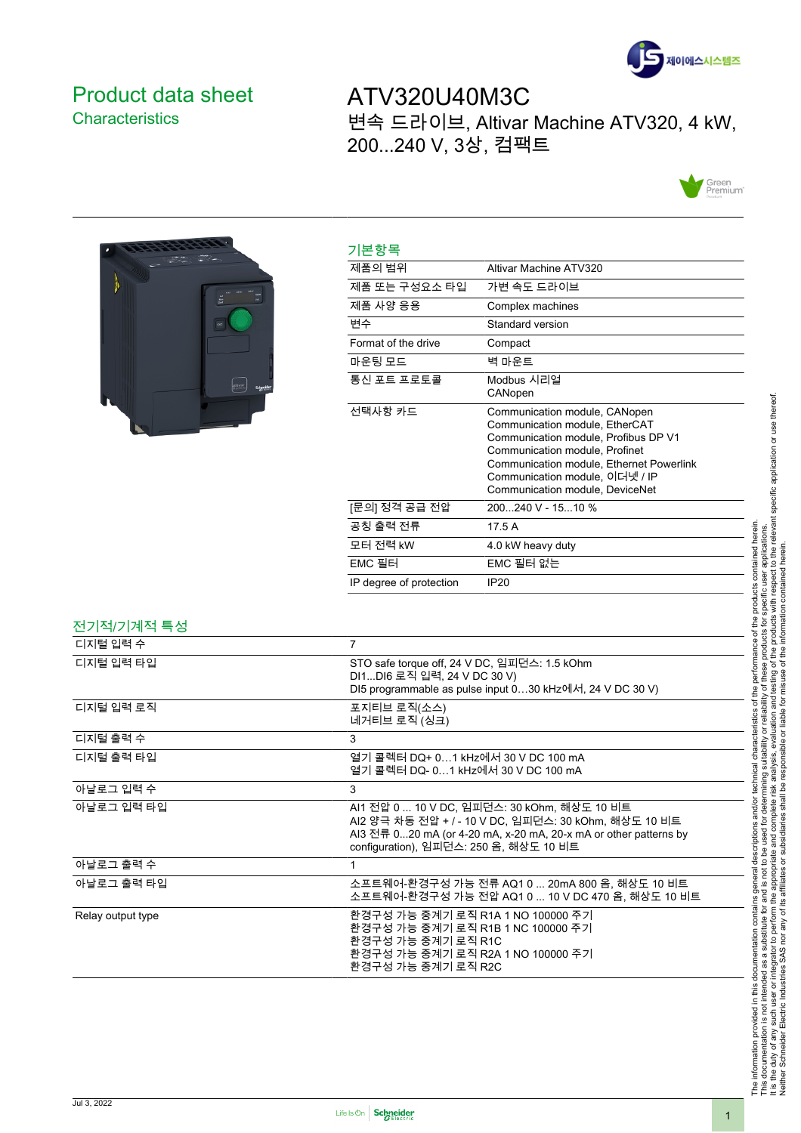

## <span id="page-0-0"></span>Product data sheet **Characteristics**

ATV320U40M3C 변속 드라이브, Altivar Machine ATV320, 4 kW, 200...240 V, 3상, 컴팩트





| 제품의 범위                  | Altivar Machine ATV320                                                                                                                                                                                                                                     |
|-------------------------|------------------------------------------------------------------------------------------------------------------------------------------------------------------------------------------------------------------------------------------------------------|
| 제품 또는 구성요소 타입           | 가변 속도 드라이브                                                                                                                                                                                                                                                 |
| 제품 사양 응용                | Complex machines                                                                                                                                                                                                                                           |
| 변수                      | Standard version                                                                                                                                                                                                                                           |
| Format of the drive     | Compact                                                                                                                                                                                                                                                    |
| 마운팅 모드                  | 벽 마운트                                                                                                                                                                                                                                                      |
| 통신 포트 프로토콜              | Modbus 시리얼<br>CANopen                                                                                                                                                                                                                                      |
| 선택사항 카드                 | Communication module, CANopen<br>Communication module, EtherCAT<br>Communication module, Profibus DP V1<br>Communication module, Profinet<br>Communication module, Ethernet Powerlink<br>Communication module, 이더넷 / IP<br>Communication module, DeviceNet |
| [문의] 정격 공급 전압           | 200240 V - 1510 %                                                                                                                                                                                                                                          |
| 공칭 출력 전류                | 17.5 A                                                                                                                                                                                                                                                     |
| 모터 전력 kW                | 4.0 kW heavy duty                                                                                                                                                                                                                                          |
| EMC 필터                  | EMC 필터 없는                                                                                                                                                                                                                                                  |
| IP degree of protection | IP20                                                                                                                                                                                                                                                       |

| 전기적/기계적 특성        |                                                                                                                                                                                                                   |
|-------------------|-------------------------------------------------------------------------------------------------------------------------------------------------------------------------------------------------------------------|
| 디지털 입력 수          | $\overline{7}$                                                                                                                                                                                                    |
| 디지털 입력 타입         | STO safe torque off, 24 V DC, 임피던스: 1.5 kOhm<br>DI1DI6 로직 입력, 24 V DC 30 V)<br>DI5 programmable as pulse input 030 kHz에서, 24 V DC 30 V)                                                                           |
| 디지털 입력 로직         | 포지티브 로직(소스)<br>네거티브 로직 (싱크)                                                                                                                                                                                       |
| 디지털 출력 수          | 3                                                                                                                                                                                                                 |
| 디지털 출력 타입         | 열기 콜렉터 DQ+ 0…1 kHz에서 30 V DC 100 mA<br>열기 콜렉터 DQ- 01 kHz에서 30 V DC 100 mA                                                                                                                                         |
| 아날로그 입력 수         | 3                                                                                                                                                                                                                 |
| 아날로그 입력 타입        | AI1 전압 0  10 V DC, 임피던스: 30 kOhm, 해상도 10 비트<br>AI2 양극 차동 전압 + / - 10 V DC, 임피던스: 30 kOhm, 해상도 10 비트<br>AI3 전류 020 mA (or 4-20 mA, x-20 mA, 20-x mA or other patterns by<br>configuration), 임피던스: 250 옴, 해상도 10 비트 |
| 아날로그 출력 수         |                                                                                                                                                                                                                   |
| 아날로그 출력 타입        | 소프트웨어-환경구성 가능 전류 AQ1 0  20mA 800 옴, 해상도 10 비트<br>소프트웨어-환경구성 가능 전압 AQ1 0  10 V DC 470 옴. 해상도 10 비트                                                                                                                 |
| Relay output type | 환경구성 가능 중계기 로직 R1A 1 NO 100000 주기<br>환경구성 가능 중계기 로직 R1B 1 NC 100000 주기<br>환경구성 가능 중계기 로직 R1C<br>환경구성 가능 중계기 로직 R2A 1 NO 100000 주기<br>환경구성 가능 중계기 로직 R2C                                                           |

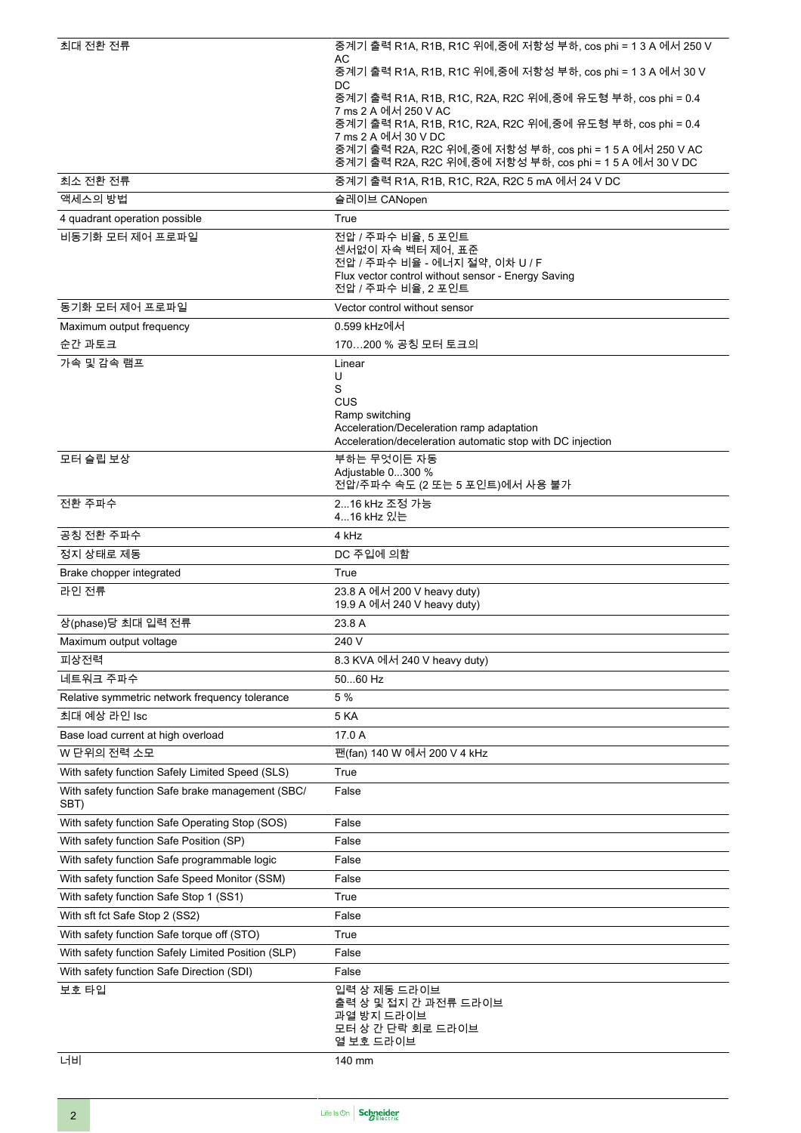| 최대 전환 전류                                                   | 중계기 출력 R1A, R1B, R1C 위에,중에 저항성 부하, cos phi = 1 3 A 에서 250 V                                                           |
|------------------------------------------------------------|-----------------------------------------------------------------------------------------------------------------------|
|                                                            | AC<br>중계기 출력 R1A, R1B, R1C 위에,중에 저항성 부하, cos phi = 1 3 A 에서 30 V                                                      |
|                                                            | DC<br>중계기 출력 R1A, R1B, R1C, R2A, R2C 위에,중에 유도형 부하, cos phi = 0.4                                                      |
|                                                            | 7 ms 2 A 에서 250 V AC                                                                                                  |
|                                                            | 중계기 출력 R1A, R1B, R1C, R2A, R2C 위에,중에 유도형 부하, cos phi = 0.4<br>7 ms 2 A 에서 30 V DC                                     |
|                                                            | 중계기 출력 R2A, R2C 위에,중에 저항성 부하, cos phi = 1 5 A 에서 250 V AC<br>중계기 출력 R2A, R2C 위에,중에 저항성 부하, cos phi = 1 5 A 에서 30 V DC |
| 최소 저환 저류                                                   | 중계기 출력 R1A, R1B, R1C, R2A, R2C 5 mA 에서 24 V DC                                                                        |
| 액세스의 방법                                                    | 슬레이브 CANopen                                                                                                          |
| 4 quadrant operation possible                              | True                                                                                                                  |
| 비동기화 모터 제어 프로파일                                            | 전압 / 주파수 비율, 5 포인트                                                                                                    |
|                                                            | 센서없이 자속 벡터 제어, 표준<br>전압 / 주파수 비율 - 에너지 절약, 이차 U / F                                                                   |
|                                                            | Flux vector control without sensor - Energy Saving                                                                    |
|                                                            | 전압 / 주파수 비율, 2 포인트                                                                                                    |
| 동기화 모터 제어 프로파일                                             | Vector control without sensor                                                                                         |
| Maximum output frequency<br>순간 과토크                         | 0.599 kHz에서<br>170200 % 공칭 모터 토크의                                                                                     |
| 가속 및 감속 램프                                                 | Linear                                                                                                                |
|                                                            | U                                                                                                                     |
|                                                            | S<br><b>CUS</b>                                                                                                       |
|                                                            | Ramp switching                                                                                                        |
|                                                            | Acceleration/Deceleration ramp adaptation<br>Acceleration/deceleration automatic stop with DC injection               |
| 모터 슬립 보상                                                   | 부하는 무엇이든 자동                                                                                                           |
|                                                            | Adjustable 0300 %                                                                                                     |
|                                                            | 전압/주파수 속도 (2 또는 5 포인트)에서 사용 불가                                                                                        |
| 전환 주파수                                                     | 216 kHz 조정 가능<br>416 kHz 있는                                                                                           |
| 공칭 전환 주파수                                                  | 4 kHz                                                                                                                 |
| 정지 상태로 제동                                                  | DC 주입에 의함                                                                                                             |
| Brake chopper integrated                                   | True                                                                                                                  |
| 라인 전류                                                      | 23.8 A 에서 200 V heavy duty)                                                                                           |
|                                                            | 19.9 A 에서 240 V heavy duty)                                                                                           |
| 상(phase)당 최대 입력 전류                                         | 23.8 A                                                                                                                |
| Maximum output voltage                                     | 240 V                                                                                                                 |
| 피상전력                                                       | 8.3 KVA 에서 240 V heavy duty)                                                                                          |
| 네트워크 주파수<br>Relative symmetric network frequency tolerance | 5060 Hz<br>5 %                                                                                                        |
| 최대 예상 라인 Isc                                               | <b>5 KA</b>                                                                                                           |
| Base load current at high overload                         | 17.0 A                                                                                                                |
| W 단위의 전력 소모                                                | 팬(fan) 140 W 에서 200 V 4 kHz                                                                                           |
| With safety function Safely Limited Speed (SLS)            | True                                                                                                                  |
| With safety function Safe brake management (SBC/           | False                                                                                                                 |
| SBT)                                                       |                                                                                                                       |
| With safety function Safe Operating Stop (SOS)             | False                                                                                                                 |
| With safety function Safe Position (SP)                    | False                                                                                                                 |
| With safety function Safe programmable logic               | False                                                                                                                 |
| With safety function Safe Speed Monitor (SSM)              | False                                                                                                                 |
| With safety function Safe Stop 1 (SS1)                     | True                                                                                                                  |
| With sft fct Safe Stop 2 (SS2)                             | False                                                                                                                 |
| With safety function Safe torque off (STO)                 | True                                                                                                                  |
| With safety function Safely Limited Position (SLP)         | False                                                                                                                 |
| With safety function Safe Direction (SDI)                  | False                                                                                                                 |
| 보호 타입                                                      | 입력 상 제동 드라이브<br>출력 상 및 접지 간 과전류 드라이브                                                                                  |
|                                                            | 과열 방지 드라이브<br>모터 상 간 단락 회로 드라이브                                                                                       |
|                                                            | 열 보호 드라이브                                                                                                             |
| 너비                                                         | 140 mm                                                                                                                |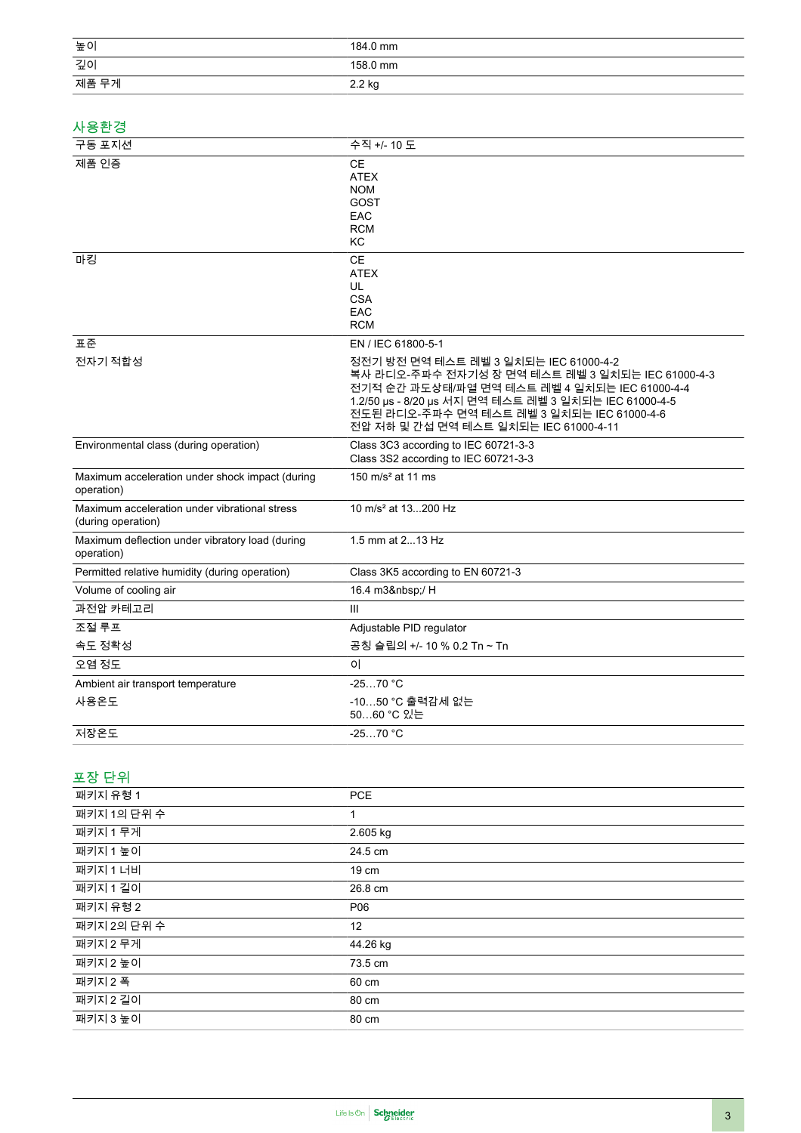| 높이                                                                  | 184.0 mm                                                                                                                                                                                                                                                                                   |
|---------------------------------------------------------------------|--------------------------------------------------------------------------------------------------------------------------------------------------------------------------------------------------------------------------------------------------------------------------------------------|
| 깊이                                                                  | 158.0 mm                                                                                                                                                                                                                                                                                   |
| 제품 무게                                                               | 2.2 kg                                                                                                                                                                                                                                                                                     |
|                                                                     |                                                                                                                                                                                                                                                                                            |
| 사용환경                                                                |                                                                                                                                                                                                                                                                                            |
| 구동 포지션                                                              | 수직 +/- 10 도                                                                                                                                                                                                                                                                                |
| 제품 인증                                                               | <b>CE</b><br><b>ATEX</b><br><b>NOM</b><br><b>GOST</b><br>EAC<br><b>RCM</b><br>КC                                                                                                                                                                                                           |
| 마킹                                                                  | <b>CE</b><br><b>ATEX</b><br>UL<br><b>CSA</b><br>EAC<br><b>RCM</b>                                                                                                                                                                                                                          |
| 표준                                                                  | EN / IEC 61800-5-1                                                                                                                                                                                                                                                                         |
| 전자기 적합성                                                             | 정전기 방전 면역 테스트 레벨 3 일치되는 IEC 61000-4-2<br>복사 라디오-주파수 전자기성 장 면역 테스트 레벨 3 일치되는 IEC 61000-4-3<br>전기적 순간 과도상태/파열 면역 테스트 레벨 4 일치되는 IEC 61000-4-4<br>1.2/50 µs - 8/20 µs 서지 면역 테스트 레벨 3 일치되는 IEC 61000-4-5<br>전도된 라디오-주파수 면역 테스트 레벨 3 일치되는 IEC 61000-4-6<br>전압 저하 및 간섭 면역 테스트 일치되는 IEC 61000-4-11 |
| Environmental class (during operation)                              | Class 3C3 according to IEC 60721-3-3<br>Class 3S2 according to IEC 60721-3-3                                                                                                                                                                                                               |
| Maximum acceleration under shock impact (during<br>operation)       | 150 $m/s2$ at 11 ms                                                                                                                                                                                                                                                                        |
| Maximum acceleration under vibrational stress<br>(during operation) | 10 m/s <sup>2</sup> at 13200 Hz                                                                                                                                                                                                                                                            |
| Maximum deflection under vibratory load (during<br>operation)       | 1.5 mm at 213 Hz                                                                                                                                                                                                                                                                           |
| Permitted relative humidity (during operation)                      | Class 3K5 according to EN 60721-3                                                                                                                                                                                                                                                          |
| Volume of cooling air                                               | 16.4 m3 / H                                                                                                                                                                                                                                                                                |
| 과전압 카테고리                                                            | Ш                                                                                                                                                                                                                                                                                          |
| 조절 루프                                                               | Adjustable PID regulator                                                                                                                                                                                                                                                                   |
| 속도 정확성                                                              | 공칭 슬립의 +/- 10 % 0.2 Tn ~ Tn                                                                                                                                                                                                                                                                |
| 오염 정도                                                               | 0                                                                                                                                                                                                                                                                                          |
| Ambient air transport temperature                                   | $-2570 °C$                                                                                                                                                                                                                                                                                 |
| 사용온도                                                                | -1050 °C 출력감세 없는<br>5060 °C 있는                                                                                                                                                                                                                                                             |
| 저장온도                                                                | $-2570$ °C                                                                                                                                                                                                                                                                                 |
|                                                                     |                                                                                                                                                                                                                                                                                            |

## 포장 단위

| 패키지 유형 1    | <b>PCE</b> |
|-------------|------------|
| 패키지 1의 단위 수 | 1          |
| 패키지 1 무게    | 2.605 kg   |
| 패키지 1 높이    | 24.5 cm    |
| 패키지 1 너비    | 19 cm      |
| 패키지 1 길이    | 26.8 cm    |
| 패키지 유형 2    | P06        |
| 패키지 2의 단위 수 | 12         |
| 패키지 2 무게    | 44.26 kg   |
| 패키지 2 높이    | 73.5 cm    |
| 패키지 2 폭     | 60 cm      |
| 패키지 2 길이    | 80 cm      |
| 패키지 3 높이    | 80 cm      |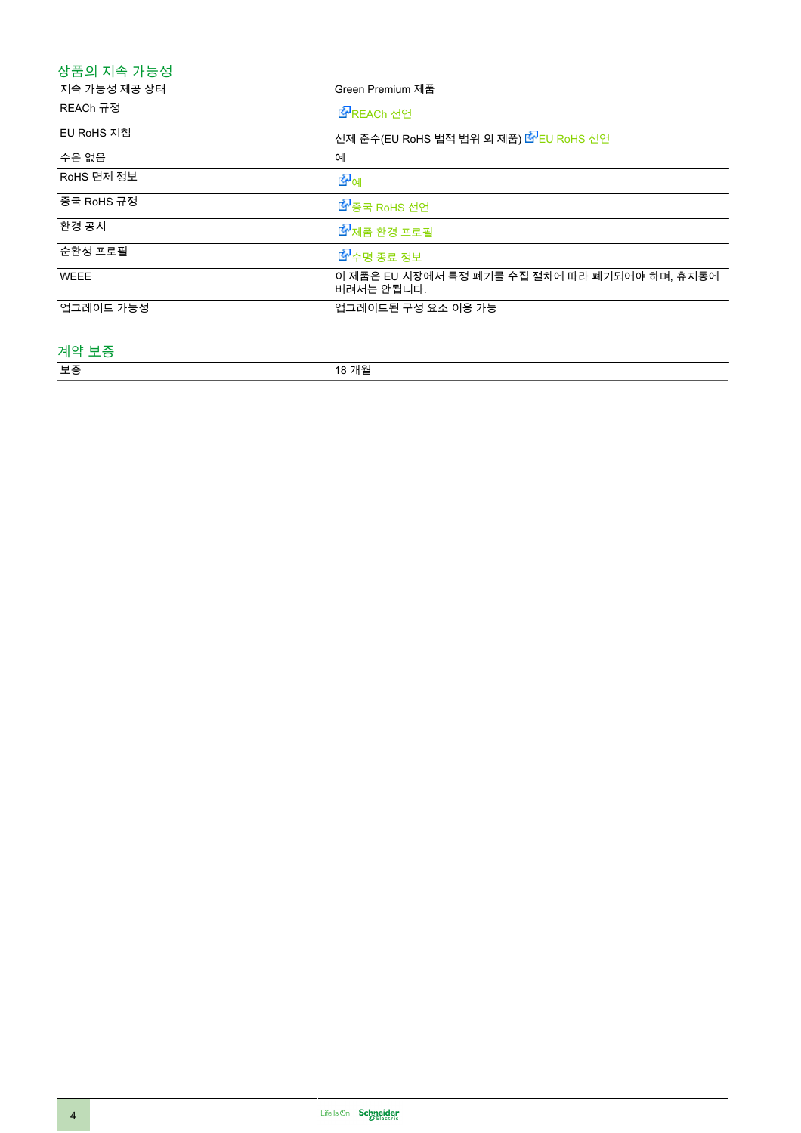## 상품의 지속 가능성

| 지속 가능성 제공 상태 | Green Premium 제품                                            |
|--------------|-------------------------------------------------------------|
| REACh 규정     | LY REACh 선언                                                 |
| EU RoHS 지침   | 선제 준수(EU RoHS 법적 범위 외 제품) <mark>ધ</mark> ೌEU RoHS 선언        |
| 수은 없음        | 예                                                           |
| RoHS 면제 정보   | 的。                                                          |
| 중국 RoHS 규정   | ■ 중국 RoHS 선언                                                |
| 환경 공시        | ■ 제품 환경 프로필                                                 |
| 순환성 프로필      | ■ 수명 종료 정보                                                  |
| <b>WEEE</b>  | 이 제품은 EU 시장에서 특정 폐기물 수집 절차에 따라 폐기되어야 하며, 휴지통에<br>버려서는 안됩니다. |
| 업그레이드 가능성    | 업그레이드된 구성 요소 이용 가능                                          |

#### 계약 보증

| 보증 | 18 개월 |
|----|-------|
|    |       |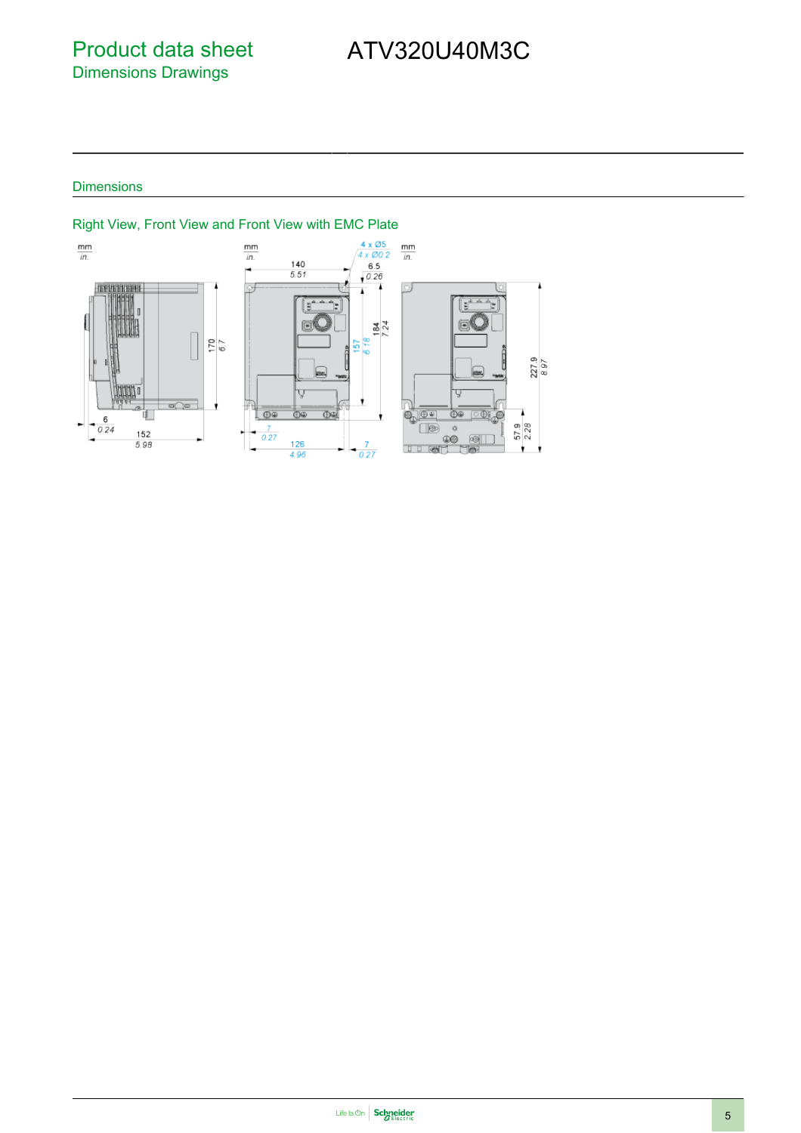## Product data sheet Dimensions Drawings

# ATV320U40M3C

### **Dimensions**



#### Right View, Front View and Front View with EMC Plate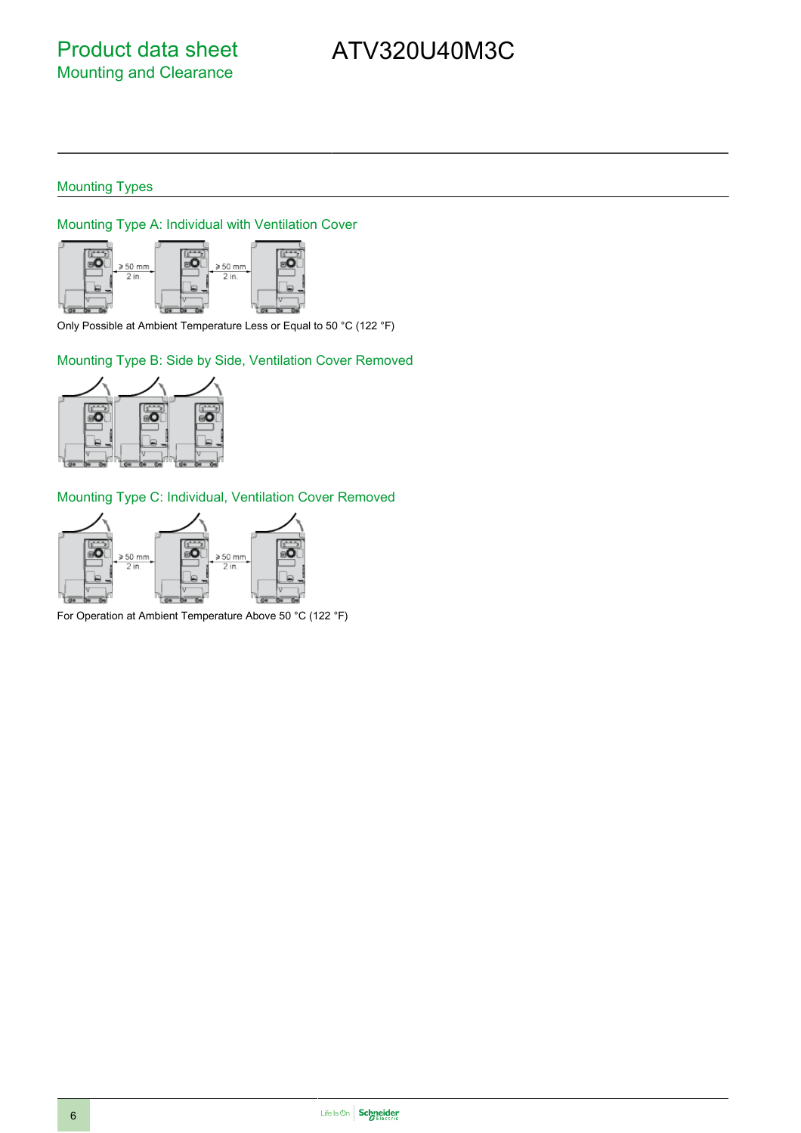# ATV320U40M3C

### Mounting Types

Mounting Type A: Individual with Ventilation Cover



Only Possible at Ambient Temperature Less or Equal to 50 °C (122 °F)

Mounting Type B: Side by Side, Ventilation Cover Removed



Mounting Type C: Individual, Ventilation Cover Removed



For Operation at Ambient Temperature Above 50 °C (122 °F)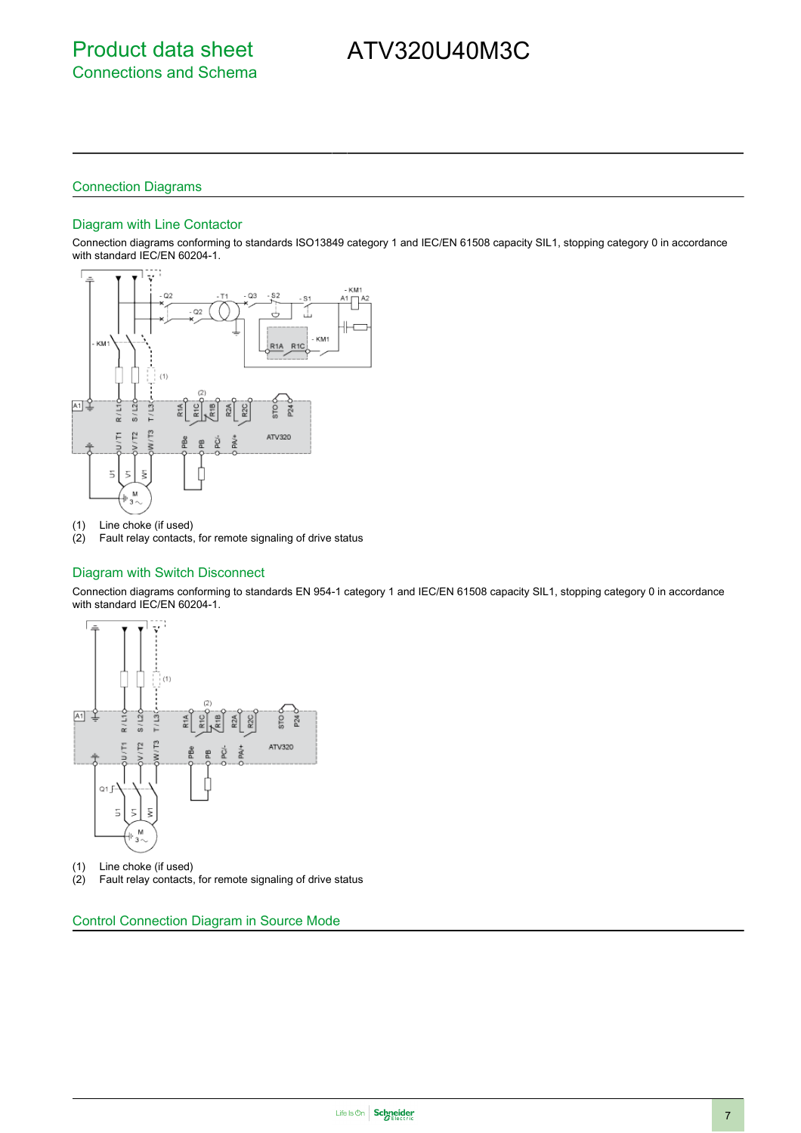# ATV320U40M3C

#### Connection Diagrams

#### Diagram with Line Contactor

Connection diagrams conforming to standards ISO13849 category 1 and IEC/EN 61508 capacity SIL1, stopping category 0 in accordance with standard IEC/EN 60204-1.



(1) Line choke (if used)

(2) Fault relay contacts, for remote signaling of drive status

#### Diagram with Switch Disconnect

Connection diagrams conforming to standards EN 954-1 category 1 and IEC/EN 61508 capacity SIL1, stopping category 0 in accordance with standard IEC/EN 60204-1.



- (1) Line choke (if used)<br>(2) Fault relay contacts,
- Fault relay contacts, for remote signaling of drive status

Control Connection Diagram in Source Mode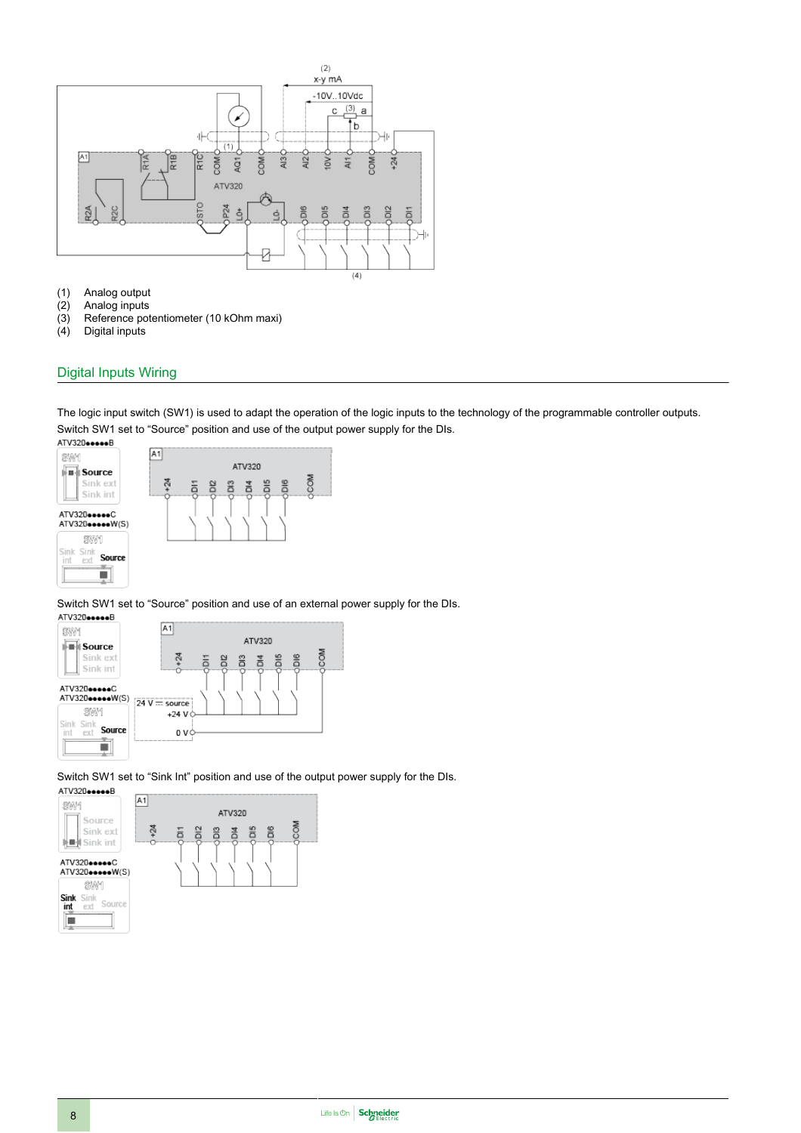

- (1) Analog output<br>(2) Analog inputs<br>(3) Reference pot
- Analog inputs
- (3) Reference potentiometer (10 kOhm maxi)<br>(4) Digital inputs
- Digital inputs

#### Digital Inputs Wiring

The logic input switch (SW1) is used to adapt the operation of the logic inputs to the technology of the programmable controller outputs. Switch SW1 set to "Source" position and use of the output power supply for the DIs.



Switch SW1 set to "Source" position and use of an external power supply for the DIs.<br>ATV320eeeeB



Switch SW1 set to "Sink Int" position and use of the output power supply for the DIs.<br>ATV320eeeeeB

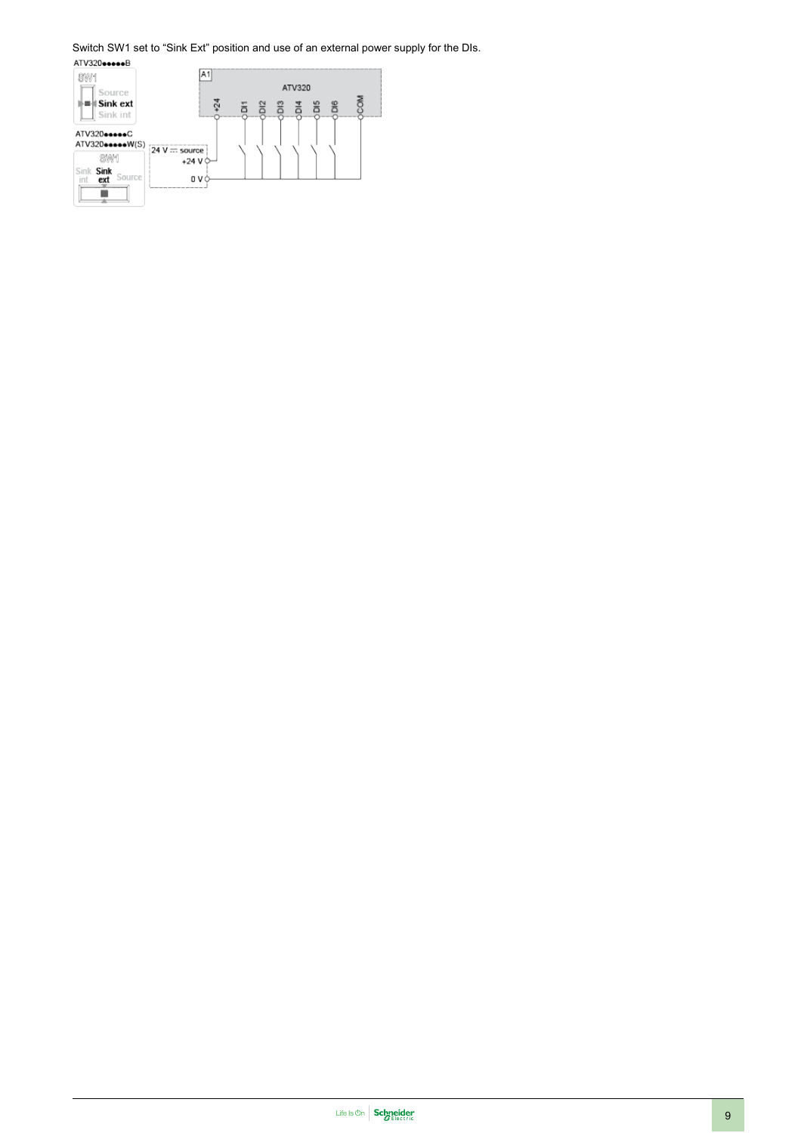# Switch SW1 set to "Sink Ext" position and use of an external power supply for the DIs.